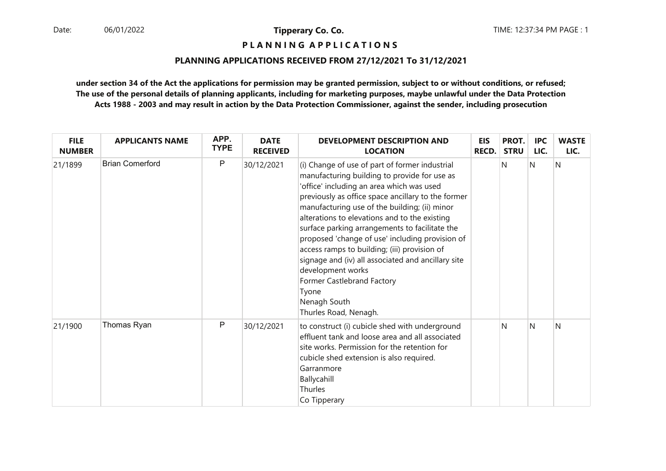**P L A N N I N G A P P L I C A T I O N S** 

#### **PLANNING APPLICATIONS RECEIVED FROM 27/12/2021 To 31/12/2021**

**under section 34 of the Act the applications for permission may be granted permission, subject to or without conditions, or refused; The use of the personal details of planning applicants, including for marketing purposes, maybe unlawful under the Data ProtectionActs 1988 - 2003 and may result in action by the Data Protection Commissioner, against the sender, including prosecution**

| <b>FILE</b><br><b>NUMBER</b> | <b>APPLICANTS NAME</b> | APP.<br><b>TYPE</b> | <b>DATE</b><br><b>RECEIVED</b> | <b>DEVELOPMENT DESCRIPTION AND</b><br><b>LOCATION</b>                                                                                                                                                                                                                                                                                                                                                                                                                                                                                                                                                               | <b>EIS</b><br>RECD. | PROT.<br><b>STRU</b> | <b>IPC</b><br>LIC. | <b>WASTE</b><br>LIC. |
|------------------------------|------------------------|---------------------|--------------------------------|---------------------------------------------------------------------------------------------------------------------------------------------------------------------------------------------------------------------------------------------------------------------------------------------------------------------------------------------------------------------------------------------------------------------------------------------------------------------------------------------------------------------------------------------------------------------------------------------------------------------|---------------------|----------------------|--------------------|----------------------|
| 21/1899                      | <b>Brian Comerford</b> | P                   | 30/12/2021                     | (i) Change of use of part of former industrial<br>manufacturing building to provide for use as<br>'office' including an area which was used<br>previously as office space ancillary to the former<br>manufacturing use of the building; (ii) minor<br>alterations to elevations and to the existing<br>surface parking arrangements to facilitate the<br>proposed 'change of use' including provision of<br>access ramps to building; (iii) provision of<br>signage and (iv) all associated and ancillary site<br>development works<br>Former Castlebrand Factory<br>Tyone<br>Nenagh South<br>Thurles Road, Nenagh. |                     | N                    | N                  | N                    |
| 21/1900                      | Thomas Ryan            | P                   | 30/12/2021                     | to construct (i) cubicle shed with underground<br>effluent tank and loose area and all associated<br>site works. Permission for the retention for<br>cubicle shed extension is also required.<br>Garranmore<br>Ballycahill<br>Thurles<br>Co Tipperary                                                                                                                                                                                                                                                                                                                                                               |                     | N                    | N                  | N                    |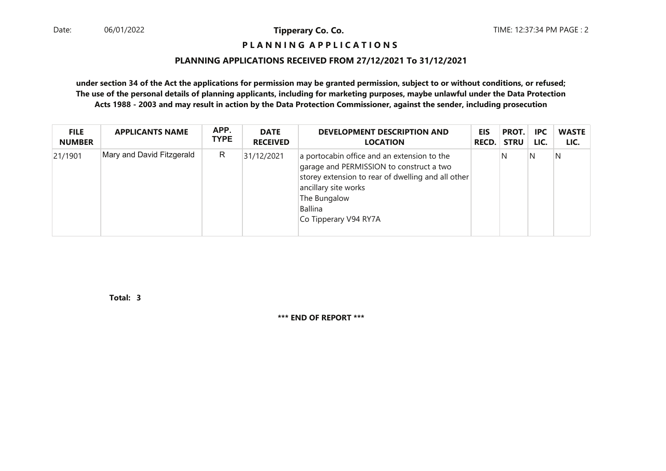#### **P L A N N I N G A P P L I C A T I O N S**

#### **PLANNING APPLICATIONS RECEIVED FROM 27/12/2021 To 31/12/2021**

**under section 34 of the Act the applications for permission may be granted permission, subject to or without conditions, or refused; The use of the personal details of planning applicants, including for marketing purposes, maybe unlawful under the Data ProtectionActs 1988 - 2003 and may result in action by the Data Protection Commissioner, against the sender, including prosecution**

| <b>FILE</b>   | <b>APPLICANTS NAME</b>    | APP.        | <b>DATE</b>     | <b>DEVELOPMENT DESCRIPTION AND</b>                                                                                                                                                                                        | <b>EIS</b>   | PROT.       | <b>IPC</b> | <b>WASTE</b> |
|---------------|---------------------------|-------------|-----------------|---------------------------------------------------------------------------------------------------------------------------------------------------------------------------------------------------------------------------|--------------|-------------|------------|--------------|
| <b>NUMBER</b> |                           | <b>TYPE</b> | <b>RECEIVED</b> | <b>LOCATION</b>                                                                                                                                                                                                           | <b>RECD.</b> | <b>STRU</b> | LIC.       | LIC.         |
| 21/1901       | Mary and David Fitzgerald | R           | 31/12/2021      | a portocabin office and an extension to the<br>garage and PERMISSION to construct a two<br>storey extension to rear of dwelling and all other<br>ancillary site works<br>The Bungalow<br>Ballina<br>Co Tipperary V94 RY7A |              | N           | N          | N            |

**3Total:**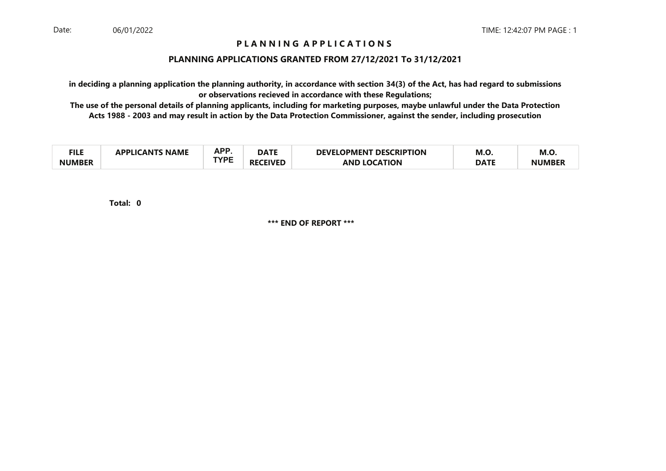#### **PLANNING APPLICATIONS GRANTED FROM 27/12/2021 To 31/12/2021**

**in deciding a planning application the planning authority, in accordance with section 34(3) of the Act, has had regard to submissionsor observations recieved in accordance with these Regulations;**

 **The use of the personal details of planning applicants, including for marketing purposes, maybe unlawful under the Data ProtectionActs 1988 - 2003 and may result in action by the Data Protection Commissioner, against the sender, including prosecution**

| ru c<br>TILE  | LICANTS NAME | A DC | ----<br>DAIL | <b>DEVELOPMENT DESCRIPTION</b> | M.O         | M.J.         |
|---------------|--------------|------|--------------|--------------------------------|-------------|--------------|
| <b>NUMBER</b> |              | TVDC |              | <b>AND LOCATION</b>            | <b>DATE</b> | <b>NUMBE</b> |

**0Total:**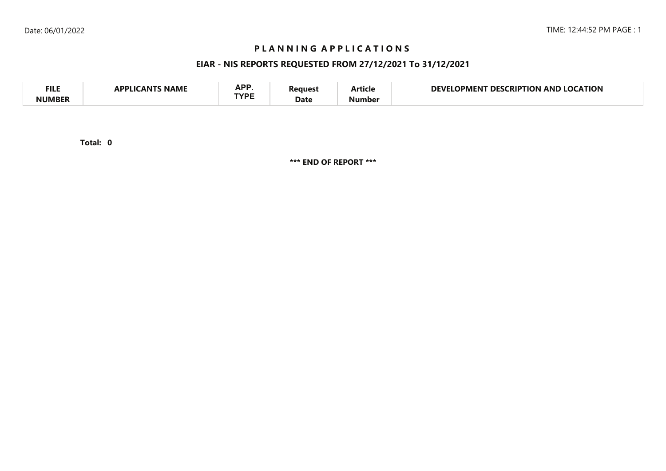## **EIAR - NIS REPORTS REQUESTED FROM 27/12/2021 To 31/12/2021**

| <b>FILE</b> | <b>NAME</b><br>A DDI IG<br>л NI | <b>ADD</b><br>NF I<br>TVDC | 'eaues' | - -<br>Article | <b>LOCATION</b><br>DEVI<br><b>LOCKIPTION</b><br>DES<br>OPMENT<br>AND |
|-------------|---------------------------------|----------------------------|---------|----------------|----------------------------------------------------------------------|
| NIIMRFR     |                                 |                            | Date    | Number         |                                                                      |

**0Total:**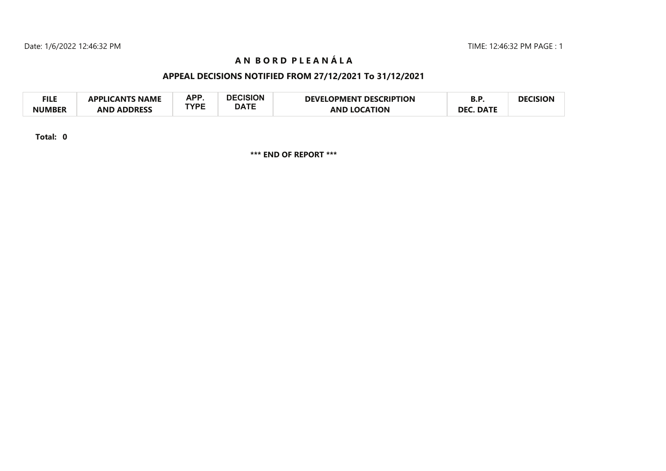# **A N B O R D P L E A N Á L A**

## **APPEAL DECISIONS NOTIFIED FROM 27/12/2021 To 31/12/2021**

| <b>FILE</b>   | <b>APPLICANTS NAME</b> | APP  | <b>DECISION</b> | <b>DEVELOPMENT DESCRIPTION</b> | D.r              | <b>DECISION</b> |
|---------------|------------------------|------|-----------------|--------------------------------|------------------|-----------------|
| <b>NUMBER</b> | <b>AND ADDRESS</b>     | TYPE | <b>DATE</b>     | <b>AND LOCATION</b>            | <b>DEC. DATE</b> |                 |

**Total: 0**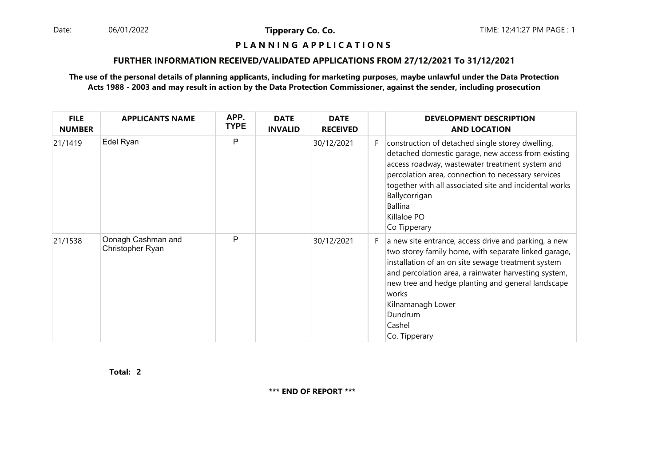06/01/2022

**Tipperary Co. Co.**

#### **P L A N N I N G A P P L I C A T I O N S**

#### **FURTHER INFORMATION RECEIVED/VALIDATED APPLICATIONS FROM 27/12/2021 To 31/12/2021**

#### **The use of the personal details of planning applicants, including for marketing purposes, maybe unlawful under the Data ProtectionActs 1988 - 2003 and may result in action by the Data Protection Commissioner, against the sender, including prosecution**

| <b>FILE</b><br><b>NUMBER</b> | <b>APPLICANTS NAME</b>                 | APP.<br><b>TYPE</b> | <b>DATE</b><br><b>INVALID</b> | <b>DATE</b><br><b>RECEIVED</b> |    | <b>DEVELOPMENT DESCRIPTION</b><br><b>AND LOCATION</b>                                                                                                                                                                                                                                                                                               |
|------------------------------|----------------------------------------|---------------------|-------------------------------|--------------------------------|----|-----------------------------------------------------------------------------------------------------------------------------------------------------------------------------------------------------------------------------------------------------------------------------------------------------------------------------------------------------|
| 21/1419                      | Edel Ryan                              | P                   |                               | 30/12/2021                     | F  | construction of detached single storey dwelling,<br>detached domestic garage, new access from existing<br>access roadway, wastewater treatment system and<br>percolation area, connection to necessary services<br>together with all associated site and incidental works<br>Ballycorrigan<br><b>Ballina</b><br>Killaloe PO<br>Co Tipperary         |
| 21/1538                      | Oonagh Cashman and<br>Christopher Ryan | P                   |                               | 30/12/2021                     | F. | a new site entrance, access drive and parking, a new<br>two storey family home, with separate linked garage,<br>installation of an on site sewage treatment system<br>and percolation area, a rainwater harvesting system,<br>new tree and hedge planting and general landscape<br>works<br>Kilnamanagh Lower<br>Dundrum<br>Cashel<br>Co. Tipperary |

**2Total:**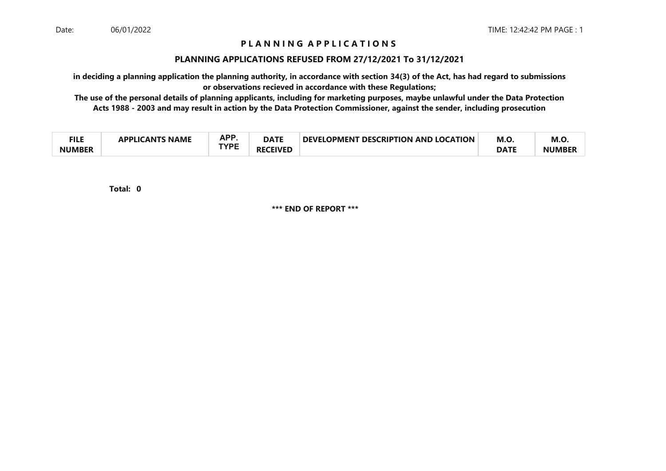#### **PLANNING APPLICATIONS REFUSED FROM 27/12/2021 To 31/12/2021**

**in deciding a planning application the planning authority, in accordance with section 34(3) of the Act, has had regard to submissionsor observations recieved in accordance with these Regulations;**

 **The use of the personal details of planning applicants, including for marketing purposes, maybe unlawful under the Data ProtectionActs 1988 - 2003 and may result in action by the Data Protection Commissioner, against the sender, including prosecution**

| ги с<br>−∎⊾⊾  | <b>NAME</b><br>21 Ι <i>Γ</i> ΔΝΤΚ<br><b>ADDI IC</b> | <b>APP</b><br>mі. | <b>DATE</b>         | <b>DEVELOPMENT</b><br><b>T DESCRIPTION AND LOCATION</b> | M.O         | M.O.          |
|---------------|-----------------------------------------------------|-------------------|---------------------|---------------------------------------------------------|-------------|---------------|
| <b>NUMBER</b> |                                                     | TVDC              | <b>CEIVED</b><br>RF |                                                         | <b>DATF</b> | <b>NUMBEI</b> |

**0Total:**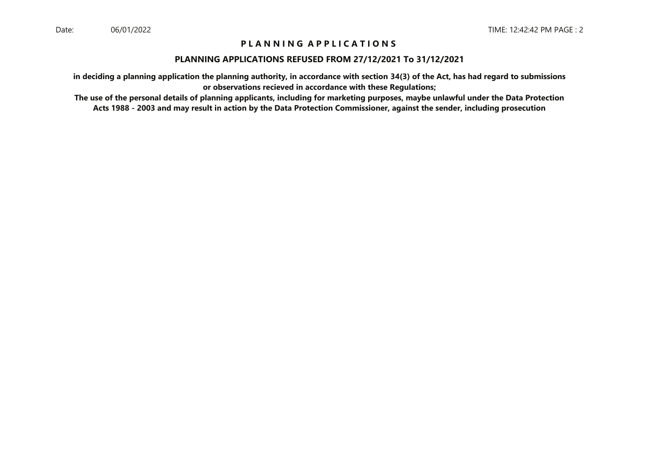#### **PLANNING APPLICATIONS REFUSED FROM 27/12/2021 To 31/12/2021**

**in deciding a planning application the planning authority, in accordance with section 34(3) of the Act, has had regard to submissionsor observations recieved in accordance with these Regulations;**

 **The use of the personal details of planning applicants, including for marketing purposes, maybe unlawful under the Data ProtectionActs 1988 - 2003 and may result in action by the Data Protection Commissioner, against the sender, including prosecution**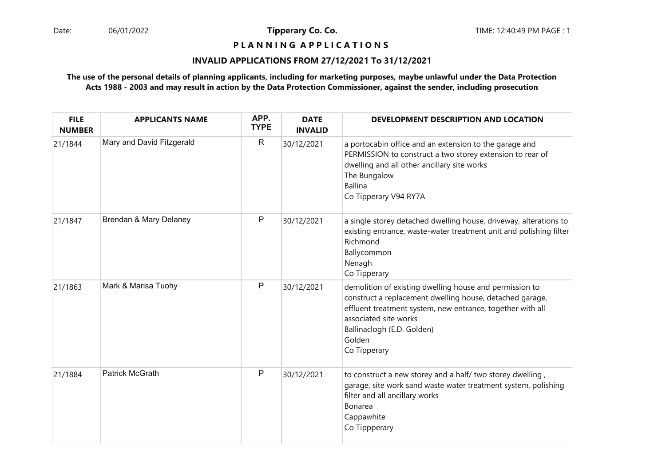## **P L A N N I N G A P P L I C A T I O N S**

#### **INVALID APPLICATIONS FROM 27/12/2021 To 31/12/2021**

#### **The use of the personal details of planning applicants, including for marketing purposes, maybe unlawful under the Data ProtectionActs 1988 - 2003 and may result in action by the Data Protection Commissioner, against the sender, including prosecution**

| <b>FILE</b><br><b>NUMBER</b> | <b>APPLICANTS NAME</b>    | APP.<br><b>TYPE</b> | <b>DATE</b><br><b>INVALID</b> | DEVELOPMENT DESCRIPTION AND LOCATION                                                                                                                                                                                                                               |
|------------------------------|---------------------------|---------------------|-------------------------------|--------------------------------------------------------------------------------------------------------------------------------------------------------------------------------------------------------------------------------------------------------------------|
| 21/1844                      | Mary and David Fitzgerald | $\mathsf{R}$        | 30/12/2021                    | a portocabin office and an extension to the garage and<br>PERMISSION to construct a two storey extension to rear of<br>dwelling and all other ancillary site works<br>The Bungalow<br><b>Ballina</b><br>Co Tipperary V94 RY7A                                      |
| 21/1847                      | Brendan & Mary Delaney    | Р                   | 30/12/2021                    | a single storey detached dwelling house, driveway, alterations to<br>existing entrance, waste-water treatment unit and polishing filter<br>Richmond<br>Ballycommon<br>Nenagh<br>Co Tipperary                                                                       |
| 21/1863                      | Mark & Marisa Tuohy       | Ρ                   | 30/12/2021                    | demolition of existing dwelling house and permission to<br>construct a replacement dwelling house, detached garage,<br>effluent treatment system, new entrance, together with all<br>associated site works<br>Ballinaclogh (E.D. Golden)<br>Golden<br>Co Tipperary |
| 21/1884                      | Patrick McGrath           | P                   | 30/12/2021                    | to construct a new storey and a half/ two storey dwelling,<br>garage, site work sand waste water treatment system, polishing<br>filter and all ancillary works<br>Bonarea<br>Cappawhite<br>Co Tippperary                                                           |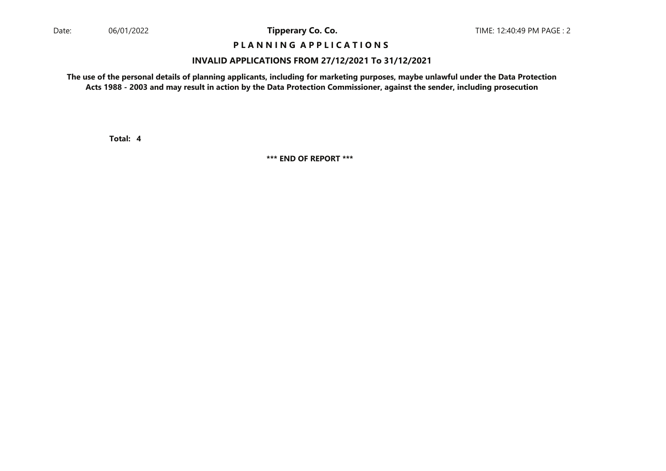## **P L A N N I N G A P P L I C A T I O N S**

#### **INVALID APPLICATIONS FROM 27/12/2021 To 31/12/2021**

**The use of the personal details of planning applicants, including for marketing purposes, maybe unlawful under the Data ProtectionActs 1988 - 2003 and may result in action by the Data Protection Commissioner, against the sender, including prosecution**

**4Total:**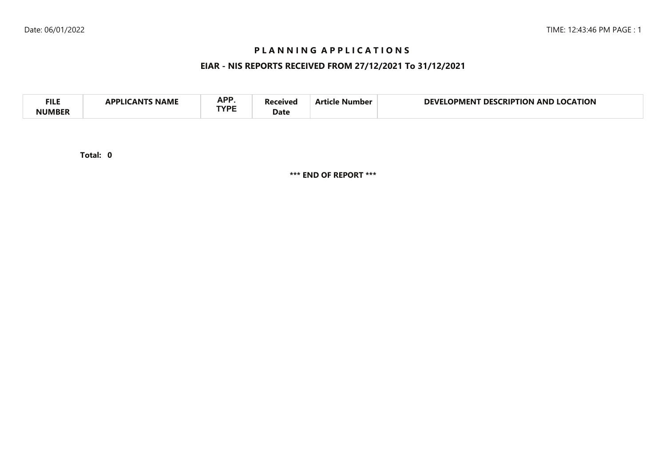## **EIAR - NIS REPORTS RECEIVED FROM 27/12/2021 To 31/12/2021**

| <b>APP</b><br><b>FILI</b><br><b>CATION</b><br>DEVI<br>AND<br>no<br>RIP.<br>ΓΙΩΝ<br>DES.<br>11701<br>Vumber<br>IPMEN I<br>NAML<br><b>TVDC</b><br>Date |  |
|------------------------------------------------------------------------------------------------------------------------------------------------------|--|
|------------------------------------------------------------------------------------------------------------------------------------------------------|--|

**0Total:**